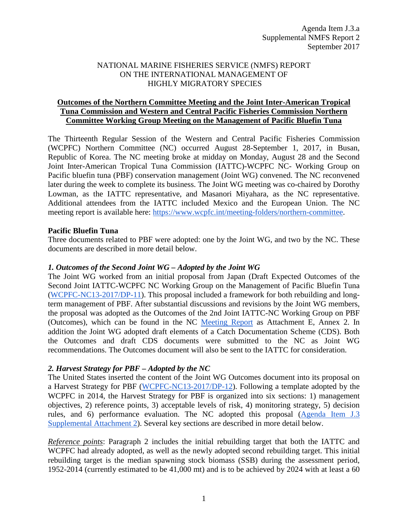# NATIONAL MARINE FISHERIES SERVICE (NMFS) REPORT ON THE INTERNATIONAL MANAGEMENT OF HIGHLY MIGRATORY SPECIES

# **Outcomes of the Northern Committee Meeting and the Joint Inter-American Tropical Tuna Commission and Western and Central Pacific Fisheries Commission Northern Committee Working Group Meeting on the Management of Pacific Bluefin Tuna**

The Thirteenth Regular Session of the Western and Central Pacific Fisheries Commission (WCPFC) Northern Committee (NC) occurred August 28-September 1, 2017, in Busan, Republic of Korea. The NC meeting broke at midday on Monday, August 28 and the Second Joint Inter-American Tropical Tuna Commission (IATTC)-WCPFC NC- Working Group on Pacific bluefin tuna (PBF) conservation management (Joint WG) convened. The NC reconvened later during the week to complete its business. The Joint WG meeting was co-chaired by Dorothy Lowman, as the IATTC representative, and Masanori Miyahara, as the NC representative. Additional attendees from the IATTC included Mexico and the European Union. The NC meeting report is available here: [https://www.wcpfc.int/meeting-folders/northern-committee.](https://www.wcpfc.int/meeting-folders/northern-committee)

# **Pacific Bluefin Tuna**

Three documents related to PBF were adopted: one by the Joint WG, and two by the NC. These documents are described in more detail below.

# *1. Outcomes of the Second Joint WG – Adopted by the Joint WG*

The Joint WG worked from an initial proposal from Japan (Draft Expected Outcomes of the Second Joint IATTC-WCPFC NC Working Group on the Management of Pacific Bluefin Tuna [\(WCPFC-NC13-2017/DP-11\)](https://www.wcpfc.int/node/29686). This proposal included a framework for both rebuilding and longterm management of PBF. After substantial discussions and revisions by the Joint WG members, the proposal was adopted as the Outcomes of the 2nd Joint IATTC-NC Working Group on PBF (Outcomes), which can be found in the NC [Meeting Report](https://www.wcpfc.int/meeting-folders/northern-committee) as Attachment E, Annex 2. In addition the Joint WG adopted draft elements of a Catch Documentation Scheme (CDS). Both the Outcomes and draft CDS documents were submitted to the NC as Joint WG recommendations. The Outcomes document will also be sent to the IATTC for consideration.

#### *2. Harvest Strategy for PBF – Adopted by the NC*

The United States inserted the content of the Joint WG Outcomes document into its proposal on a Harvest Strategy for PBF [\(WCPFC-NC13-2017/DP-12\)](https://www.wcpfc.int/node/29688). Following a template adopted by the WCPFC in 2014, the Harvest Strategy for PBF is organized into six sections: 1) management objectives, 2) reference points, 3) acceptable levels of risk, 4) monitoring strategy, 5) decision rules, and 6) performance evaluation. The NC adopted this proposal [\(Agenda Item J.3](http://www.pcouncil.org/wp-content/uploads/2017/09/J3_Sup_Att2_WCPFC_outcomes_SEPT2017BB.pdf)  [Supplemental Attachment 2\)](http://www.pcouncil.org/wp-content/uploads/2017/09/J3_Sup_Att2_WCPFC_outcomes_SEPT2017BB.pdf). Several key sections are described in more detail below.

*Reference points*: Paragraph 2 includes the initial rebuilding target that both the IATTC and WCPFC had already adopted, as well as the newly adopted second rebuilding target. This initial rebuilding target is the median spawning stock biomass (SSB) during the assessment period, 1952-2014 (currently estimated to be 41,000 mt) and is to be achieved by 2024 with at least a 60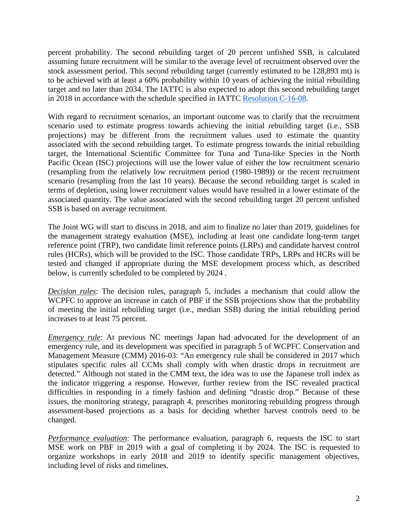percent probability. The second rebuilding target of 20 percent unfished SSB, is calculated assuming future recruitment will be similar to the average level of recruitment observed over the stock assessment period. This second rebuilding target (currently estimated to be 128,893 mt) is to be achieved with at least a 60% probability within 10 years of achieving the initial rebuilding target and no later than 2034. The IATTC is also expected to adopt this second rebuilding target in 2018 in accordance with the schedule specified in IATTC [Resolution C-16-08.](http://www.iattc.org/PDFFiles2/Resolutions/C-16-08-Conservation-and-management-of-Pacific-bluefin-tuna.pdf)

With regard to recruitment scenarios, an important outcome was to clarify that the recruitment scenario used to estimate progress towards achieving the initial rebuilding target (i.e., SSB projections) may be different from the recruitment values used to estimate the quantity associated with the second rebuilding target. To estimate progress towards the initial rebuilding target, the International Scientific Committee for Tuna and Tuna-like Species in the North Pacific Ocean (ISC) projections will use the lower value of either the low recruitment scenario (resampling from the relatively low recruitment period (1980-1989)) or the recent recruitment scenario (resampling from the last 10 years). Because the second rebuilding target is scaled in terms of depletion, using lower recruitment values would have resulted in a lower estimate of the associated quantity. The value associated with the second rebuilding target 20 percent unfished SSB is based on average recruitment.

The Joint WG will start to discuss in 2018, and aim to finalize no later than 2019, guidelines for the management strategy evaluation (MSE), including at least one candidate long-term target reference point (TRP), two candidate limit reference points (LRPs) and candidate harvest control rules (HCRs), which will be provided to the ISC. Those candidate TRPs, LRPs and HCRs will be tested and changed if appropriate during the MSE development process which, as described below, is currently scheduled to be completed by 2024 .

*Decision rules*: The decision rules, paragraph 5, includes a mechanism that could allow the WCPFC to approve an increase in catch of PBF if the SSB projections show that the probability of meeting the initial rebuilding target (i.e., median SSB) during the initial rebuilding period increases to at least 75 percent.

*Emergency rule*: At previous NC meetings Japan had advocated for the development of an emergency rule, and its development was specified in paragraph 5 of WCPFC Conservation and Management Measure (CMM) 2016-03: "An emergency rule shall be considered in 2017 which stipulates specific rules all CCMs shall comply with when drastic drops in recruitment are detected." Although not stated in the CMM text, the idea was to use the Japanese troll index as the indicator triggering a response. However, further review from the ISC revealed practical difficulties in responding in a timely fashion and defining "drastic drop." Because of these issues, the monitoring strategy, paragraph 4, prescribes monitoring rebuilding progress through assessment-based projections as a basis for deciding whether harvest controls need to be changed.

*Performance evaluation*: The performance evaluation, paragraph 6, requests the ISC to start MSE work on PBF in 2019 with a goal of completing it by 2024. The ISC is requested to organize workshops in early 2018 and 2019 to identify specific management objectives, including level of risks and timelines.